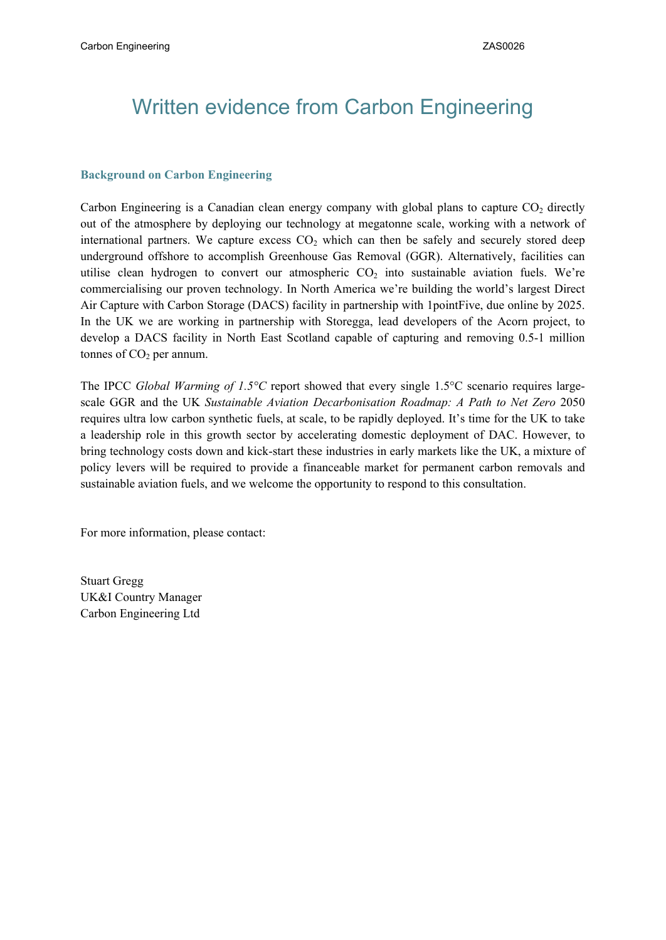# Written evidence from Carbon Engineering

#### **Background on Carbon Engineering**

Carbon Engineering is a Canadian clean energy company with global plans to capture  $CO<sub>2</sub>$  directly out of the atmosphere by deploying our technology at megatonne scale, working with a network of international partners. We capture excess  $CO<sub>2</sub>$  which can then be safely and securely stored deep underground offshore to accomplish Greenhouse Gas Removal (GGR). Alternatively, facilities can utilise clean hydrogen to convert our atmospheric  $CO<sub>2</sub>$  into sustainable aviation fuels. We're commercialising our proven technology. In North America we're building the world's largest Direct Air Capture with Carbon Storage (DACS) facility in partnership with 1pointFive, due online by 2025. In the UK we are working in partnership with Storegga, lead developers of the Acorn project, to develop a DACS facility in North East Scotland capable of capturing and removing 0.5-1 million tonnes of  $CO<sub>2</sub>$  per annum.

The IPCC *Global Warming of 1.5°C* report showed that every single 1.5°C scenario requires largescale GGR and the UK *Sustainable Aviation Decarbonisation Roadmap: A Path to Net Zero* 2050 requires ultra low carbon synthetic fuels, at scale, to be rapidly deployed. It's time for the UK to take a leadership role in this growth sector by accelerating domestic deployment of DAC. However, to bring technology costs down and kick-start these industries in early markets like the UK, a mixture of policy levers will be required to provide a financeable market for permanent carbon removals and sustainable aviation fuels, and we welcome the opportunity to respond to this consultation.

For more information, please contact:

Stuart Gregg UK&I Country Manager Carbon Engineering Ltd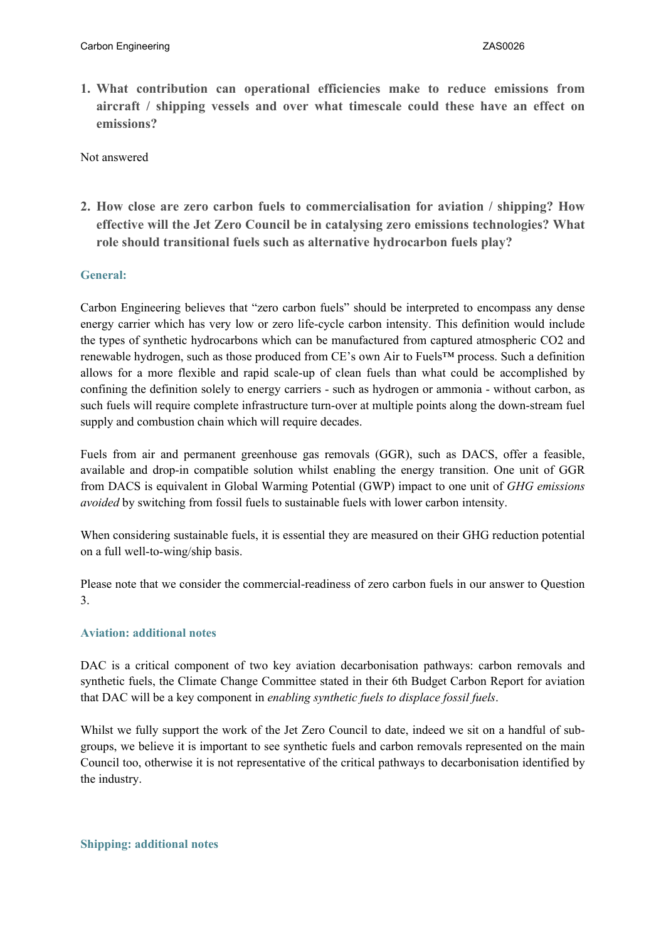**1. What contribution can operational efficiencies make to reduce emissions from aircraft / shipping vessels and over what timescale could these have an effect on emissions?**

Not answered

**2. How close are zero carbon fuels to commercialisation for aviation / shipping? How effective will the Jet Zero Council be in catalysing zero emissions technologies? What role should transitional fuels such as alternative hydrocarbon fuels play?**

## **General:**

Carbon Engineering believes that "zero carbon fuels" should be interpreted to encompass any dense energy carrier which has very low or zero life-cycle carbon intensity. This definition would include the types of synthetic hydrocarbons which can be manufactured from captured atmospheric CO2 and renewable hydrogen, such as those produced from CE's own Air to Fuels™ process. Such a definition allows for a more flexible and rapid scale-up of clean fuels than what could be accomplished by confining the definition solely to energy carriers - such as hydrogen or ammonia - without carbon, as such fuels will require complete infrastructure turn-over at multiple points along the down-stream fuel supply and combustion chain which will require decades.

Fuels from air and permanent greenhouse gas removals (GGR), such as DACS, offer a feasible, available and drop-in compatible solution whilst enabling the energy transition. One unit of GGR from DACS is equivalent in Global Warming Potential (GWP) impact to one unit of *GHG emissions avoided* by switching from fossil fuels to sustainable fuels with lower carbon intensity.

When considering sustainable fuels, it is essential they are measured on their GHG reduction potential on a full well-to-wing/ship basis.

Please note that we consider the commercial-readiness of zero carbon fuels in our answer to Question 3.

#### **Aviation: additional notes**

DAC is a critical component of two key aviation decarbonisation pathways: carbon removals and synthetic fuels, the Climate Change Committee stated in their 6th Budget Carbon Report for aviation that DAC will be a key component in *enabling synthetic fuels to displace fossil fuels*.

Whilst we fully support the work of the Jet Zero Council to date, indeed we sit on a handful of subgroups, we believe it is important to see synthetic fuels and carbon removals represented on the main Council too, otherwise it is not representative of the critical pathways to decarbonisation identified by the industry.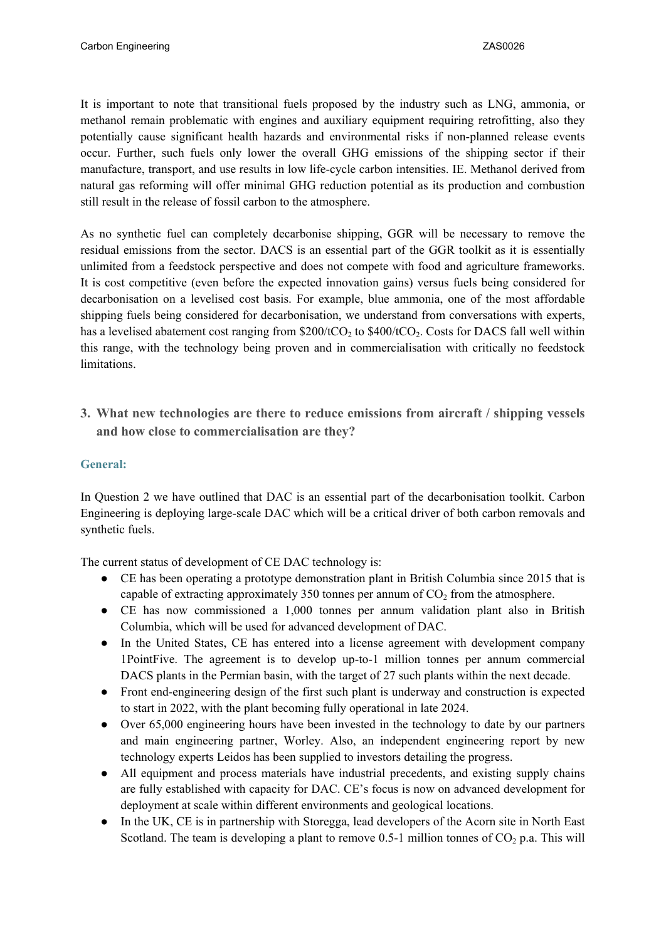It is important to note that transitional fuels proposed by the industry such as LNG, ammonia, or methanol remain problematic with engines and auxiliary equipment requiring retrofitting, also they potentially cause significant health hazards and environmental risks if non-planned release events occur. Further, such fuels only lower the overall GHG emissions of the shipping sector if their manufacture, transport, and use results in low life-cycle carbon intensities. IE. Methanol derived from natural gas reforming will offer minimal GHG reduction potential as its production and combustion still result in the release of fossil carbon to the atmosphere.

As no synthetic fuel can completely decarbonise shipping, GGR will be necessary to remove the residual emissions from the sector. DACS is an essential part of the GGR toolkit as it is essentially unlimited from a feedstock perspective and does not compete with food and agriculture frameworks. It is cost competitive (even before the expected innovation gains) versus fuels being considered for decarbonisation on a levelised cost basis. For example, blue ammonia, one of the most affordable shipping fuels being considered for decarbonisation, we understand from conversations with experts, has a levelised abatement cost ranging from  $$200/tCO<sub>2</sub>$  to  $$400/tCO<sub>2</sub>$ . Costs for DACS fall well within this range, with the technology being proven and in commercialisation with critically no feedstock limitations.

**3. What new technologies are there to reduce emissions from aircraft / shipping vessels and how close to commercialisation are they?**

# **General:**

In Question 2 we have outlined that DAC is an essential part of the decarbonisation toolkit. Carbon Engineering is deploying large-scale DAC which will be a critical driver of both carbon removals and synthetic fuels.

The current status of development of CE DAC technology is:

- CE has been operating a prototype demonstration plant in British Columbia since 2015 that is capable of extracting approximately 350 tonnes per annum of  $CO<sub>2</sub>$  from the atmosphere.
- CE has now commissioned a 1,000 tonnes per annum validation plant also in British Columbia, which will be used for advanced development of DAC.
- In the United States, CE has entered into a license agreement with development company 1PointFive. The agreement is to develop up-to-1 million tonnes per annum commercial DACS plants in the Permian basin, with the target of 27 such plants within the next decade.
- Front end-engineering design of the first such plant is underway and construction is expected to start in 2022, with the plant becoming fully operational in late 2024.
- Over 65,000 engineering hours have been invested in the technology to date by our partners and main engineering partner, Worley. Also, an independent engineering report by new technology experts Leidos has been supplied to investors detailing the progress.
- All equipment and process materials have industrial precedents, and existing supply chains are fully established with capacity for DAC. CE's focus is now on advanced development for deployment at scale within different environments and geological locations.
- In the UK, CE is in partnership with Storegga, lead developers of the Acorn site in North East Scotland. The team is developing a plant to remove 0.5-1 million tonnes of  $CO<sub>2</sub>$  p.a. This will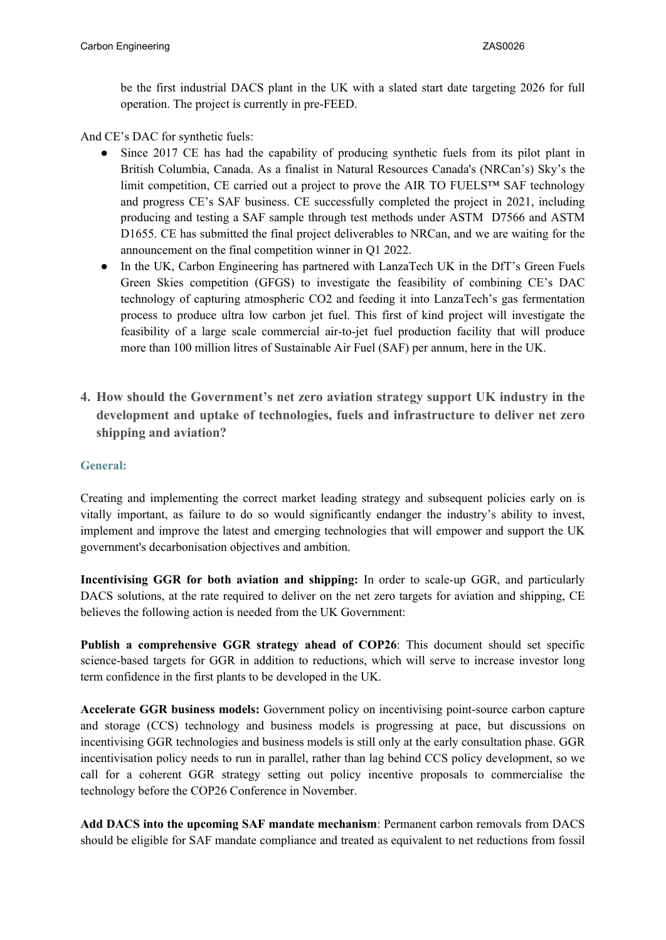be the first industrial DACS plant in the UK with a slated start date targeting 2026 for full operation. The project is currently in pre-FEED.

And CE's DAC for synthetic fuels:

- Since 2017 CE has had the capability of producing synthetic fuels from its pilot plant in British Columbia, Canada. As a finalist in Natural Resources Canada's (NRCan's) Sky's the limit competition, CE carried out a project to prove the AIR TO FUELS<sup>TM</sup> SAF technology and progress CE's SAF business. CE successfully completed the project in 2021, including producing and testing a SAF sample through test methods under ASTM D7566 and ASTM D1655. CE has submitted the final project deliverables to NRCan, and we are waiting for the announcement on the final competition winner in Q1 2022.
- In the UK, Carbon Engineering has partnered with LanzaTech UK in the DfT's Green Fuels Green Skies competition (GFGS) to investigate the feasibility of combining CE's DAC technology of capturing atmospheric CO2 and feeding it into LanzaTech's gas fermentation process to produce ultra low carbon jet fuel. This first of kind project will investigate the feasibility of a large scale commercial air-to-jet fuel production facility that will produce more than 100 million litres of Sustainable Air Fuel (SAF) per annum, here in the UK.
- **4. How should the Government's net zero aviation strategy support UK industry in the development and uptake of technologies, fuels and infrastructure to deliver net zero shipping and aviation?**

# **General:**

Creating and implementing the correct market leading strategy and subsequent policies early on is vitally important, as failure to do so would significantly endanger the industry's ability to invest, implement and improve the latest and emerging technologies that will empower and support the UK government's decarbonisation objectives and ambition.

**Incentivising GGR for both aviation and shipping:** In order to scale-up GGR, and particularly DACS solutions, at the rate required to deliver on the net zero targets for aviation and shipping, CE believes the following action is needed from the UK Government:

**Publish a comprehensive GGR strategy ahead of COP26**: This document should set specific science-based targets for GGR in addition to reductions, which will serve to increase investor long term confidence in the first plants to be developed in the UK.

**Accelerate GGR business models:** Government policy on incentivising point-source carbon capture and storage (CCS) technology and business models is progressing at pace, but discussions on incentivising GGR technologies and business models is still only at the early consultation phase. GGR incentivisation policy needs to run in parallel, rather than lag behind CCS policy development, so we call for a coherent GGR strategy setting out policy incentive proposals to commercialise the technology before the COP26 Conference in November.

**Add DACS into the upcoming SAF mandate mechanism**: Permanent carbon removals from DACS should be eligible for SAF mandate compliance and treated as equivalent to net reductions from fossil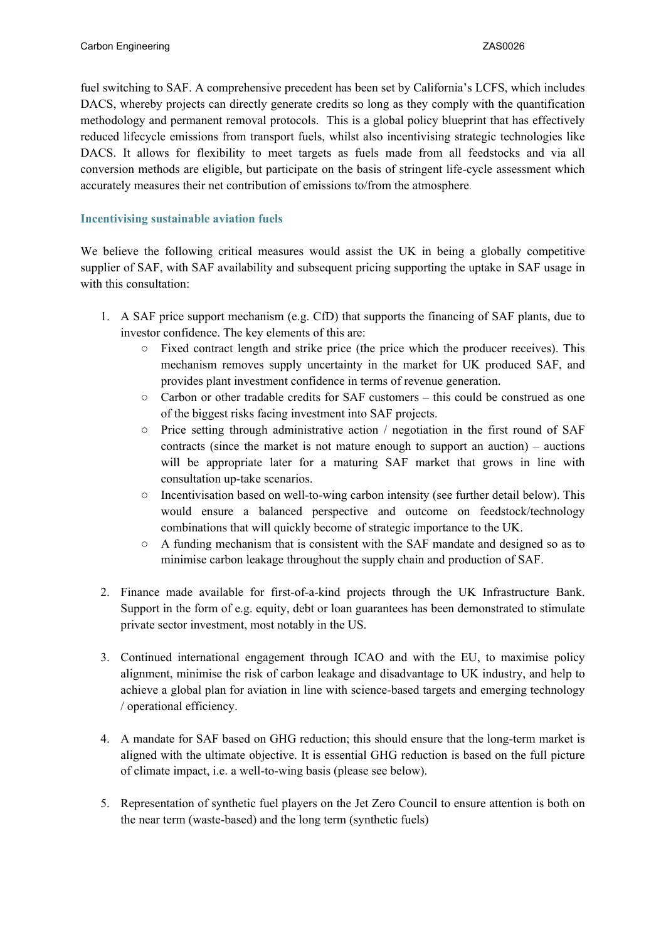fuel switching to SAF. A comprehensive precedent has been set by California's LCFS, which includes DACS, whereby projects can directly generate credits so long as they comply with the quantification methodology and permanent removal protocols. This is a global policy blueprint that has effectively reduced lifecycle emissions from transport fuels, whilst also incentivising strategic technologies like DACS. It allows for flexibility to meet targets as fuels made from all feedstocks and via all conversion methods are eligible, but participate on the basis of stringent life-cycle assessment which accurately measures their net contribution of emissions to/from the atmosphere.

## **Incentivising sustainable aviation fuels**

We believe the following critical measures would assist the UK in being a globally competitive supplier of SAF, with SAF availability and subsequent pricing supporting the uptake in SAF usage in with this consultation:

- 1. A SAF price support mechanism (e.g. CfD) that supports the financing of SAF plants, due to investor confidence. The key elements of this are:
	- Fixed contract length and strike price (the price which the producer receives). This mechanism removes supply uncertainty in the market for UK produced SAF, and provides plant investment confidence in terms of revenue generation.
	- Carbon or other tradable credits for SAF customers this could be construed as one of the biggest risks facing investment into SAF projects.
	- Price setting through administrative action / negotiation in the first round of SAF contracts (since the market is not mature enough to support an auction) – auctions will be appropriate later for a maturing SAF market that grows in line with consultation up-take scenarios.
	- $\circ$  Incentivisation based on well-to-wing carbon intensity (see further detail below). This would ensure a balanced perspective and outcome on feedstock/technology combinations that will quickly become of strategic importance to the UK.
	- $\circ$  A funding mechanism that is consistent with the SAF mandate and designed so as to minimise carbon leakage throughout the supply chain and production of SAF.
- 2. Finance made available for first-of-a-kind projects through the UK Infrastructure Bank. Support in the form of e.g. equity, debt or loan guarantees has been demonstrated to stimulate private sector investment, most notably in the US.
- 3. Continued international engagement through ICAO and with the EU, to maximise policy alignment, minimise the risk of carbon leakage and disadvantage to UK industry, and help to achieve a global plan for aviation in line with science-based targets and emerging technology / operational efficiency.
- 4. A mandate for SAF based on GHG reduction; this should ensure that the long-term market is aligned with the ultimate objective. It is essential GHG reduction is based on the full picture of climate impact, i.e. a well-to-wing basis (please see below).
- 5. Representation of synthetic fuel players on the Jet Zero Council to ensure attention is both on the near term (waste-based) and the long term (synthetic fuels)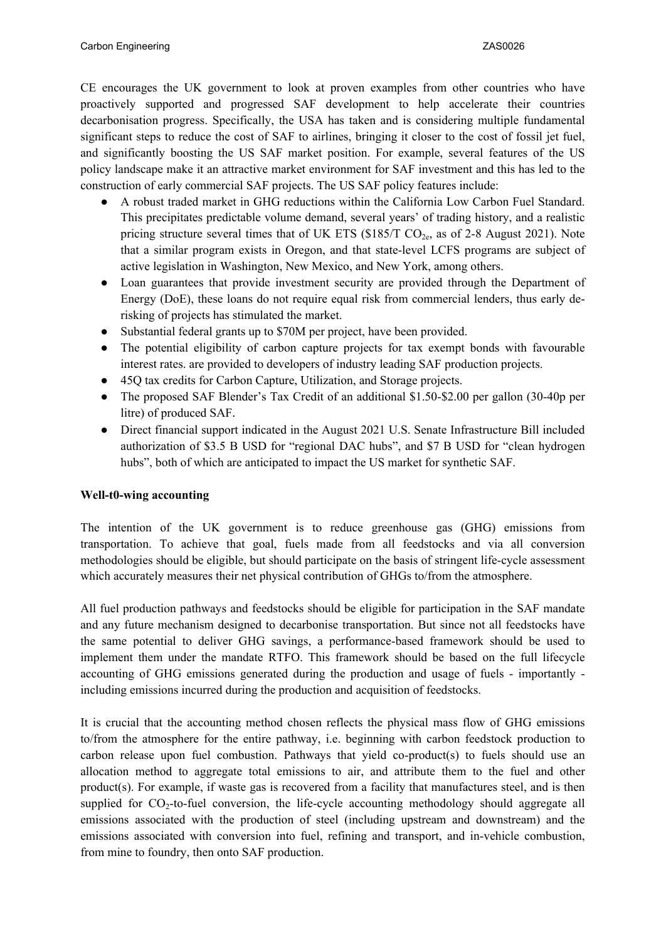CE encourages the UK government to look at proven examples from other countries who have proactively supported and progressed SAF development to help accelerate their countries decarbonisation progress. Specifically, the USA has taken and is considering multiple fundamental significant steps to reduce the cost of SAF to airlines, bringing it closer to the cost of fossil jet fuel, and significantly boosting the US SAF market position. For example, several features of the US policy landscape make it an attractive market environment for SAF investment and this has led to the construction of early commercial SAF projects. The US SAF policy features include:

- A robust traded market in GHG reductions within the California Low Carbon Fuel Standard. This precipitates predictable volume demand, several years' of trading history, and a realistic pricing structure several times that of UK ETS  $(\$185/T CO<sub>2e</sub>$ , as of 2-8 August 2021). Note that a similar program exists in Oregon, and that state-level LCFS programs are subject of active legislation in Washington, New Mexico, and New York, among others.
- Loan guarantees that provide investment security are provided through the Department of Energy (DoE), these loans do not require equal risk from commercial lenders, thus early derisking of projects has stimulated the market.
- Substantial federal grants up to \$70M per project, have been provided.
- The potential eligibility of carbon capture projects for tax exempt bonds with favourable interest rates. are provided to developers of industry leading SAF production projects.
- 45Q tax credits for Carbon Capture, Utilization, and Storage projects.
- The proposed SAF Blender's Tax Credit of an additional \$1.50-\$2.00 per gallon (30-40p per litre) of produced SAF.
- Direct financial support indicated in the August 2021 U.S. Senate Infrastructure Bill included authorization of \$3.5 B USD for "regional DAC hubs", and \$7 B USD for "clean hydrogen hubs", both of which are anticipated to impact the US market for synthetic SAF.

#### **Well-t0-wing accounting**

The intention of the UK government is to reduce greenhouse gas (GHG) emissions from transportation. To achieve that goal, fuels made from all feedstocks and via all conversion methodologies should be eligible, but should participate on the basis of stringent life-cycle assessment which accurately measures their net physical contribution of GHGs to/from the atmosphere.

All fuel production pathways and feedstocks should be eligible for participation in the SAF mandate and any future mechanism designed to decarbonise transportation. But since not all feedstocks have the same potential to deliver GHG savings, a performance-based framework should be used to implement them under the mandate RTFO. This framework should be based on the full lifecycle accounting of GHG emissions generated during the production and usage of fuels - importantly including emissions incurred during the production and acquisition of feedstocks.

It is crucial that the accounting method chosen reflects the physical mass flow of GHG emissions to/from the atmosphere for the entire pathway, i.e. beginning with carbon feedstock production to carbon release upon fuel combustion. Pathways that yield co-product(s) to fuels should use an allocation method to aggregate total emissions to air, and attribute them to the fuel and other product(s). For example, if waste gas is recovered from a facility that manufactures steel, and is then supplied for  $CO<sub>2</sub>$ -to-fuel conversion, the life-cycle accounting methodology should aggregate all emissions associated with the production of steel (including upstream and downstream) and the emissions associated with conversion into fuel, refining and transport, and in-vehicle combustion, from mine to foundry, then onto SAF production.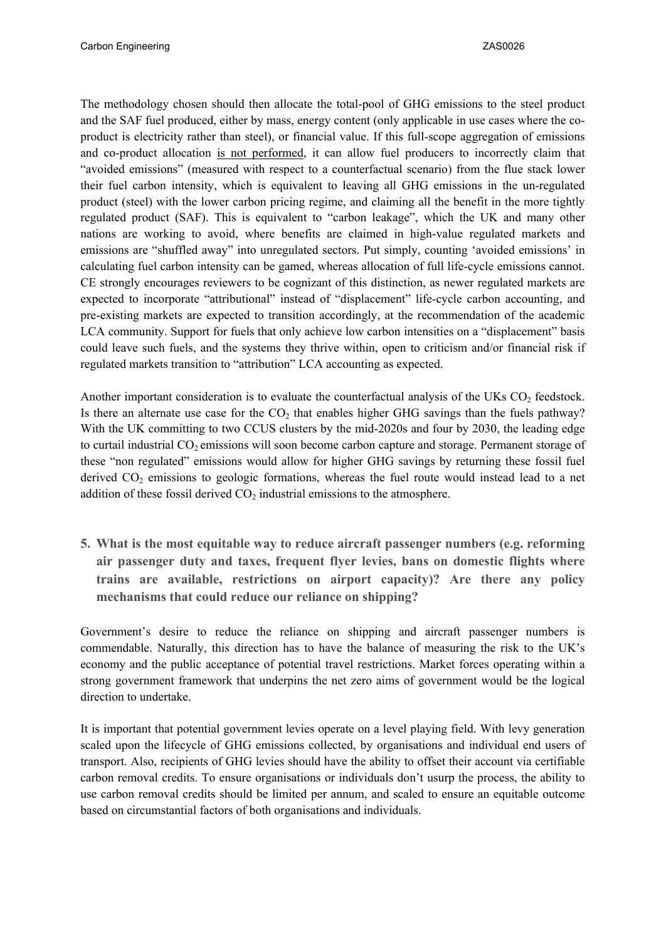The methodology chosen should then allocate the total-pool of GHG emissions to the steel product and the SAF fuel produced, either by mass, energy content (only applicable in use cases where the coproduct is electricity rather than steel), or financial value. If this full-scope aggregation of emissions and co-product allocation is not performed, it can allow fuel producers to incorrectly claim that "avoided emissions" (measured with respect to a counterfactual scenario) from the flue stack lower their fuel carbon intensity, which is equivalent to leaving all GHG emissions in the un-regulated product (steel) with the lower carbon pricing regime, and claiming all the benefit in the more tightly regulated product (SAF). This is equivalent to "carbon leakage", which the UK and many other nations are working to avoid, where benefits are claimed in high-value regulated markets and emissions are "shuffled away" into unregulated sectors. Put simply, counting 'avoided emissions' in calculating fuel carbon intensity can be gamed, whereas allocation of full life-cycle emissions cannot. CE strongly encourages reviewers to be cognizant of this distinction, as newer regulated markets are expected to incorporate "attributional" instead of "displacement" life-cycle carbon accounting, and pre-existing markets are expected to transition accordingly, at the recommendation of the academic LCA community. Support for fuels that only achieve low carbon intensities on a "displacement" basis could leave such fuels, and the systems they thrive within, open to criticism and/or financial risk if regulated markets transition to "attribution" LCA accounting as expected.

Another important consideration is to evaluate the counterfactual analysis of the UKs  $CO<sub>2</sub>$  feedstock. Is there an alternate use case for the  $CO<sub>2</sub>$  that enables higher GHG savings than the fuels pathway? With the UK committing to two CCUS clusters by the mid-2020s and four by 2030, the leading edge to curtail industrial CO<sub>2</sub> emissions will soon become carbon capture and storage. Permanent storage of these "non regulated" emissions would allow for higher GHG savings by returning these fossil fuel derived  $CO<sub>2</sub>$  emissions to geologic formations, whereas the fuel route would instead lead to a net addition of these fossil derived  $CO<sub>2</sub>$  industrial emissions to the atmosphere.

**5. What is the most equitable way to reduce aircraft passenger numbers (e.g. reforming air passenger duty and taxes, frequent flyer levies, bans on domestic flights where trains are available, restrictions on airport capacity)? Are there any policy mechanisms that could reduce our reliance on shipping?**

Government's desire to reduce the reliance on shipping and aircraft passenger numbers is commendable. Naturally, this direction has to have the balance of measuring the risk to the UK's economy and the public acceptance of potential travel restrictions. Market forces operating within a strong government framework that underpins the net zero aims of government would be the logical direction to undertake.

It is important that potential government levies operate on a level playing field. With levy generation scaled upon the lifecycle of GHG emissions collected, by organisations and individual end users of transport. Also, recipients of GHG levies should have the ability to offset their account via certifiable carbon removal credits. To ensure organisations or individuals don't usurp the process, the ability to use carbon removal credits should be limited per annum, and scaled to ensure an equitable outcome based on circumstantial factors of both organisations and individuals.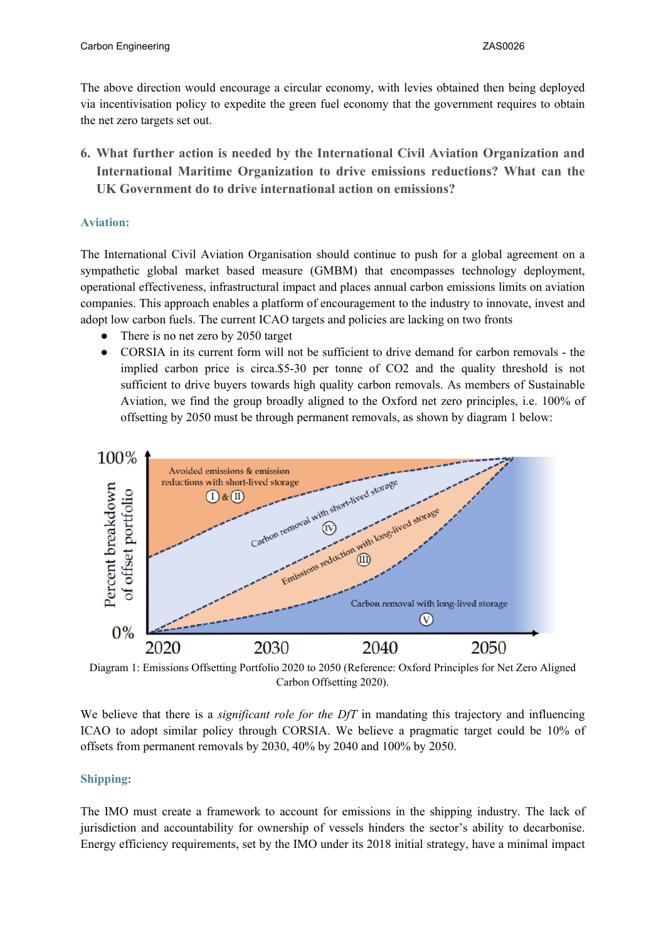The above direction would encourage a circular economy, with levies obtained then being deployed via incentivisation policy to expedite the green fuel economy that the government requires to obtain the net zero targets set out.

**6. What further action is needed by the International Civil Aviation Organization and International Maritime Organization to drive emissions reductions? What can the UK Government do to drive international action on emissions?**

## **Aviation:**

The International Civil Aviation Organisation should continue to push for a global agreement on a sympathetic global market based measure (GMBM) that encompasses technology deployment, operational effectiveness, infrastructural impact and places annual carbon emissions limits on aviation companies. This approach enables a platform of encouragement to the industry to innovate, invest and adopt low carbon fuels. The current ICAO targets and policies are lacking on two fronts

- There is no net zero by 2050 target
- CORSIA in its current form will not be sufficient to drive demand for carbon removals the implied carbon price is circa.\$5-30 per tonne of CO2 and the quality threshold is not sufficient to drive buyers towards high quality carbon removals. As members of Sustainable Aviation, we find the group broadly aligned to the Oxford net zero principles, i.e. 100% of offsetting by 2050 must be through permanent removals, as shown by diagram 1 below:



Diagram 1: Emissions Offsetting Portfolio 2020 to 2050 (Reference: Oxford Principles for Net Zero Aligned Carbon Offsetting 2020).

We believe that there is a *significant role for the DfT* in mandating this trajectory and influencing ICAO to adopt similar policy through CORSIA. We believe a pragmatic target could be 10% of offsets from permanent removals by 2030, 40% by 2040 and 100% by 2050.

# **Shipping:**

The IMO must create a framework to account for emissions in the shipping industry. The lack of jurisdiction and accountability for ownership of vessels hinders the sector's ability to decarbonise. Energy efficiency requirements, set by the IMO under its 2018 initial strategy, have a minimal impact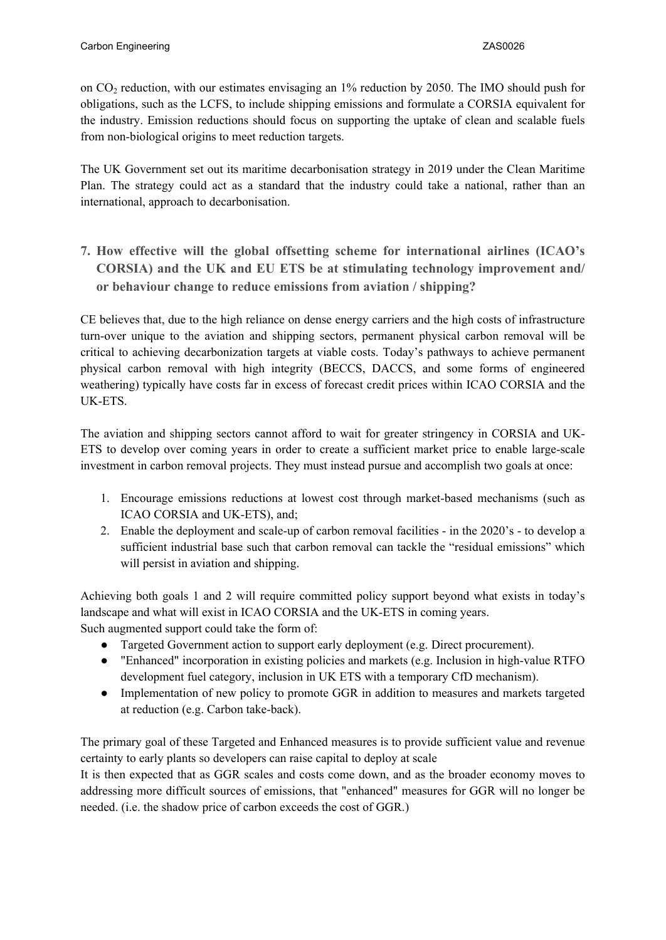on CO<sup>2</sup> reduction, with our estimates envisaging an 1% reduction by 2050. The IMO should push for obligations, such as the LCFS, to include shipping emissions and formulate a CORSIA equivalent for the industry. Emission reductions should focus on supporting the uptake of clean and scalable fuels from non-biological origins to meet reduction targets.

The UK Government set out its maritime decarbonisation strategy in 2019 under the Clean Maritime Plan. The strategy could act as a standard that the industry could take a national, rather than an international, approach to decarbonisation.

**7. How effective will the global offsetting scheme for international airlines (ICAO's CORSIA) and the UK and EU ETS be at stimulating technology improvement and/ or behaviour change to reduce emissions from aviation / shipping?**

CE believes that, due to the high reliance on dense energy carriers and the high costs of infrastructure turn-over unique to the aviation and shipping sectors, permanent physical carbon removal will be critical to achieving decarbonization targets at viable costs. Today's pathways to achieve permanent physical carbon removal with high integrity (BECCS, DACCS, and some forms of engineered weathering) typically have costs far in excess of forecast credit prices within ICAO CORSIA and the UK-ETS.

The aviation and shipping sectors cannot afford to wait for greater stringency in CORSIA and UK-ETS to develop over coming years in order to create a sufficient market price to enable large-scale investment in carbon removal projects. They must instead pursue and accomplish two goals at once:

- 1. Encourage emissions reductions at lowest cost through market-based mechanisms (such as ICAO CORSIA and UK-ETS), and;
- 2. Enable the deployment and scale-up of carbon removal facilities in the 2020's to develop a sufficient industrial base such that carbon removal can tackle the "residual emissions" which will persist in aviation and shipping.

Achieving both goals 1 and 2 will require committed policy support beyond what exists in today's landscape and what will exist in ICAO CORSIA and the UK-ETS in coming years. Such augmented support could take the form of:

- Targeted Government action to support early deployment (e.g. Direct procurement).
- "Enhanced" incorporation in existing policies and markets (e.g. Inclusion in high-value RTFO) development fuel category, inclusion in UK ETS with a temporary CfD mechanism).
- Implementation of new policy to promote GGR in addition to measures and markets targeted at reduction (e.g. Carbon take-back).

The primary goal of these Targeted and Enhanced measures is to provide sufficient value and revenue certainty to early plants so developers can raise capital to deploy at scale

It is then expected that as GGR scales and costs come down, and as the broader economy moves to addressing more difficult sources of emissions, that "enhanced" measures for GGR will no longer be needed. (i.e. the shadow price of carbon exceeds the cost of GGR.)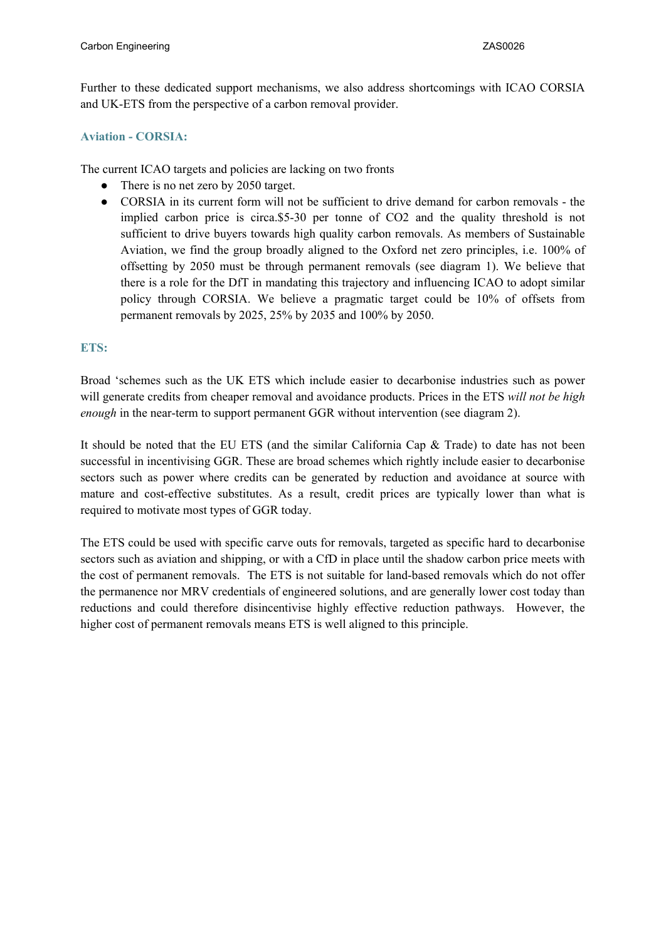Further to these dedicated support mechanisms, we also address shortcomings with ICAO CORSIA and UK-ETS from the perspective of a carbon removal provider.

#### **Aviation - CORSIA:**

The current ICAO targets and policies are lacking on two fronts

- There is no net zero by 2050 target.
- CORSIA in its current form will not be sufficient to drive demand for carbon removals the implied carbon price is circa.\$5-30 per tonne of CO2 and the quality threshold is not sufficient to drive buyers towards high quality carbon removals. As members of Sustainable Aviation, we find the group broadly aligned to the Oxford net zero principles, i.e. 100% of offsetting by 2050 must be through permanent removals (see diagram 1). We believe that there is a role for the DfT in mandating this trajectory and influencing ICAO to adopt similar policy through CORSIA. We believe a pragmatic target could be 10% of offsets from permanent removals by 2025, 25% by 2035 and 100% by 2050.

## **ETS:**

Broad 'schemes such as the UK ETS which include easier to decarbonise industries such as power will generate credits from cheaper removal and avoidance products. Prices in the ETS *will not be high enough* in the near-term to support permanent GGR without intervention (see diagram 2).

It should be noted that the EU ETS (and the similar California Cap & Trade) to date has not been successful in incentivising GGR. These are broad schemes which rightly include easier to decarbonise sectors such as power where credits can be generated by reduction and avoidance at source with mature and cost-effective substitutes. As a result, credit prices are typically lower than what is required to motivate most types of GGR today.

The ETS could be used with specific carve outs for removals, targeted as specific hard to decarbonise sectors such as aviation and shipping, or with a CfD in place until the shadow carbon price meets with the cost of permanent removals. The ETS is not suitable for land-based removals which do not offer the permanence nor MRV credentials of engineered solutions, and are generally lower cost today than reductions and could therefore disincentivise highly effective reduction pathways. However, the higher cost of permanent removals means ETS is well aligned to this principle.